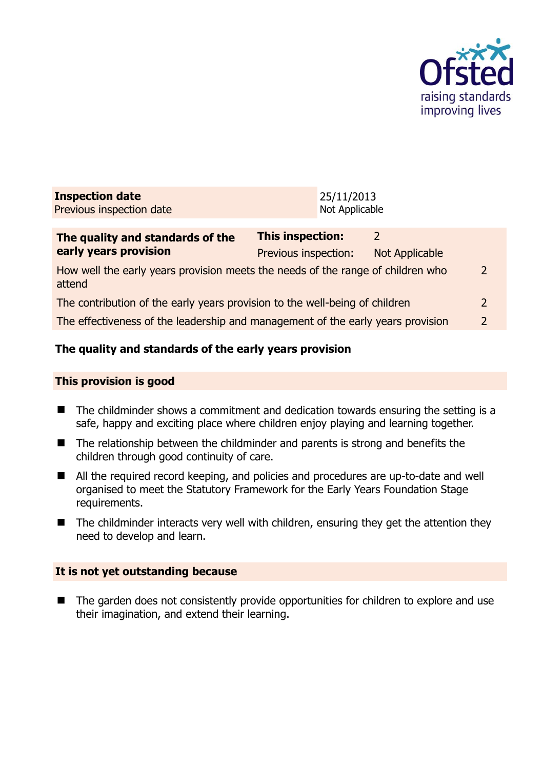

| <b>Inspection date</b>   | 25/11/2013     |
|--------------------------|----------------|
| Previous inspection date | Not Applicable |

| The quality and standards of the<br>early years provision                                 | This inspection:     |                |               |
|-------------------------------------------------------------------------------------------|----------------------|----------------|---------------|
|                                                                                           | Previous inspection: | Not Applicable |               |
| How well the early years provision meets the needs of the range of children who<br>attend |                      |                | $\mathcal{L}$ |
| The contribution of the early years provision to the well-being of children               |                      |                | $\mathcal{L}$ |
| The effectiveness of the leadership and management of the early years provision           |                      |                | $\mathcal{D}$ |
|                                                                                           |                      |                |               |

# **The quality and standards of the early years provision**

#### **This provision is good**

- $\blacksquare$  The childminder shows a commitment and dedication towards ensuring the setting is a safe, happy and exciting place where children enjoy playing and learning together.
- The relationship between the childminder and parents is strong and benefits the children through good continuity of care.
- All the required record keeping, and policies and procedures are up-to-date and well organised to meet the Statutory Framework for the Early Years Foundation Stage requirements.
- The childminder interacts very well with children, ensuring they get the attention they need to develop and learn.

#### **It is not yet outstanding because**

■ The garden does not consistently provide opportunities for children to explore and use their imagination, and extend their learning.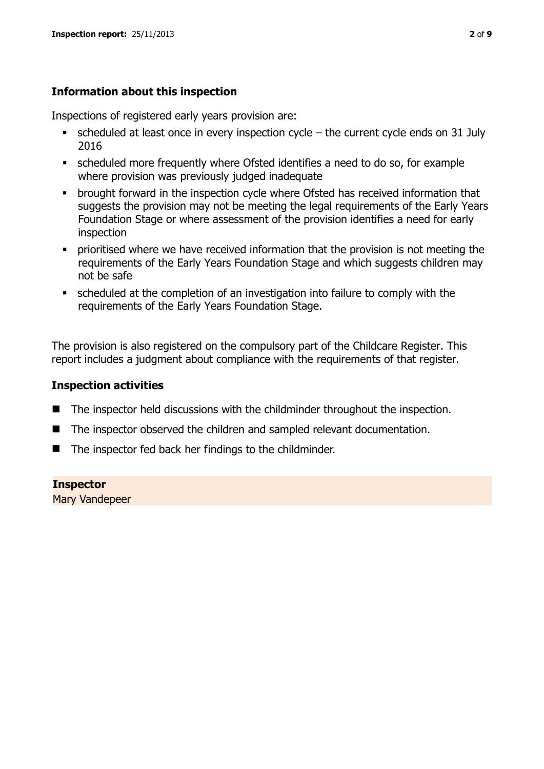# **Information about this inspection**

Inspections of registered early years provision are:

- $\bullet$  scheduled at least once in every inspection cycle the current cycle ends on 31 July 2016
- scheduled more frequently where Ofsted identifies a need to do so, for example where provision was previously judged inadequate
- **•** brought forward in the inspection cycle where Ofsted has received information that suggests the provision may not be meeting the legal requirements of the Early Years Foundation Stage or where assessment of the provision identifies a need for early inspection
- **•** prioritised where we have received information that the provision is not meeting the requirements of the Early Years Foundation Stage and which suggests children may not be safe
- scheduled at the completion of an investigation into failure to comply with the requirements of the Early Years Foundation Stage.

The provision is also registered on the compulsory part of the Childcare Register. This report includes a judgment about compliance with the requirements of that register.

#### **Inspection activities**

- The inspector held discussions with the childminder throughout the inspection.
- The inspector observed the children and sampled relevant documentation.
- The inspector fed back her findings to the childminder.

#### **Inspector**

Mary Vandepeer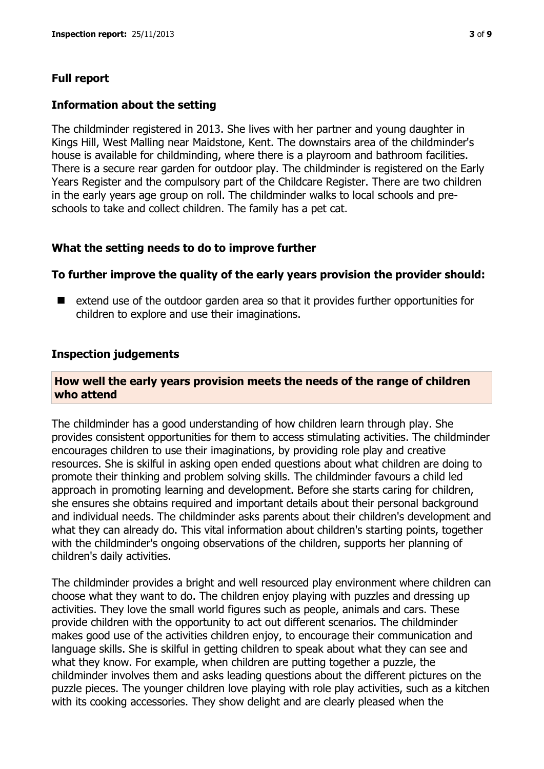# **Full report**

#### **Information about the setting**

The childminder registered in 2013. She lives with her partner and young daughter in Kings Hill, West Malling near Maidstone, Kent. The downstairs area of the childminder's house is available for childminding, where there is a playroom and bathroom facilities. There is a secure rear garden for outdoor play. The childminder is registered on the Early Years Register and the compulsory part of the Childcare Register. There are two children in the early years age group on roll. The childminder walks to local schools and preschools to take and collect children. The family has a pet cat.

#### **What the setting needs to do to improve further**

#### **To further improve the quality of the early years provision the provider should:**

■ extend use of the outdoor garden area so that it provides further opportunities for children to explore and use their imaginations.

#### **Inspection judgements**

#### **How well the early years provision meets the needs of the range of children who attend**

The childminder has a good understanding of how children learn through play. She provides consistent opportunities for them to access stimulating activities. The childminder encourages children to use their imaginations, by providing role play and creative resources. She is skilful in asking open ended questions about what children are doing to promote their thinking and problem solving skills. The childminder favours a child led approach in promoting learning and development. Before she starts caring for children, she ensures she obtains required and important details about their personal background and individual needs. The childminder asks parents about their children's development and what they can already do. This vital information about children's starting points, together with the childminder's ongoing observations of the children, supports her planning of children's daily activities.

The childminder provides a bright and well resourced play environment where children can choose what they want to do. The children enjoy playing with puzzles and dressing up activities. They love the small world figures such as people, animals and cars. These provide children with the opportunity to act out different scenarios. The childminder makes good use of the activities children enjoy, to encourage their communication and language skills. She is skilful in getting children to speak about what they can see and what they know. For example, when children are putting together a puzzle, the childminder involves them and asks leading questions about the different pictures on the puzzle pieces. The younger children love playing with role play activities, such as a kitchen with its cooking accessories. They show delight and are clearly pleased when the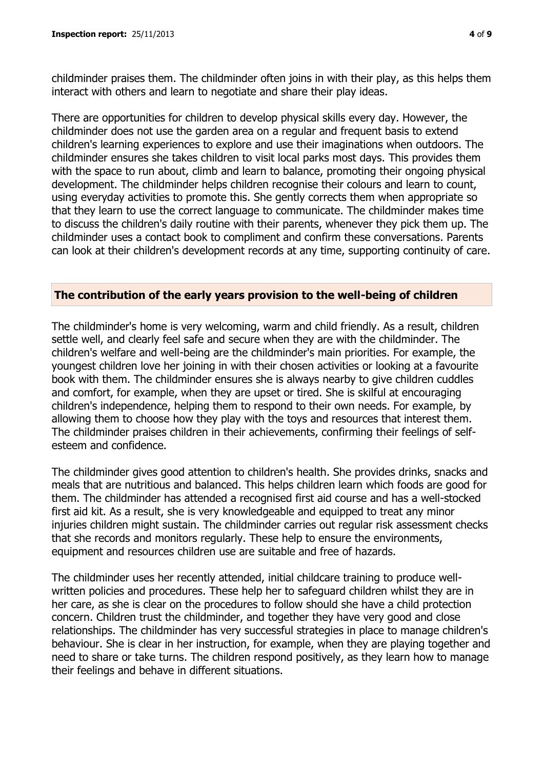childminder praises them. The childminder often joins in with their play, as this helps them interact with others and learn to negotiate and share their play ideas.

There are opportunities for children to develop physical skills every day. However, the childminder does not use the garden area on a regular and frequent basis to extend children's learning experiences to explore and use their imaginations when outdoors. The childminder ensures she takes children to visit local parks most days. This provides them with the space to run about, climb and learn to balance, promoting their ongoing physical development. The childminder helps children recognise their colours and learn to count, using everyday activities to promote this. She gently corrects them when appropriate so that they learn to use the correct language to communicate. The childminder makes time to discuss the children's daily routine with their parents, whenever they pick them up. The childminder uses a contact book to compliment and confirm these conversations. Parents can look at their children's development records at any time, supporting continuity of care.

#### **The contribution of the early years provision to the well-being of children**

The childminder's home is very welcoming, warm and child friendly. As a result, children settle well, and clearly feel safe and secure when they are with the childminder. The children's welfare and well-being are the childminder's main priorities. For example, the youngest children love her joining in with their chosen activities or looking at a favourite book with them. The childminder ensures she is always nearby to give children cuddles and comfort, for example, when they are upset or tired. She is skilful at encouraging children's independence, helping them to respond to their own needs. For example, by allowing them to choose how they play with the toys and resources that interest them. The childminder praises children in their achievements, confirming their feelings of selfesteem and confidence.

The childminder gives good attention to children's health. She provides drinks, snacks and meals that are nutritious and balanced. This helps children learn which foods are good for them. The childminder has attended a recognised first aid course and has a well-stocked first aid kit. As a result, she is very knowledgeable and equipped to treat any minor injuries children might sustain. The childminder carries out regular risk assessment checks that she records and monitors regularly. These help to ensure the environments, equipment and resources children use are suitable and free of hazards.

The childminder uses her recently attended, initial childcare training to produce wellwritten policies and procedures. These help her to safeguard children whilst they are in her care, as she is clear on the procedures to follow should she have a child protection concern. Children trust the childminder, and together they have very good and close relationships. The childminder has very successful strategies in place to manage children's behaviour. She is clear in her instruction, for example, when they are playing together and need to share or take turns. The children respond positively, as they learn how to manage their feelings and behave in different situations.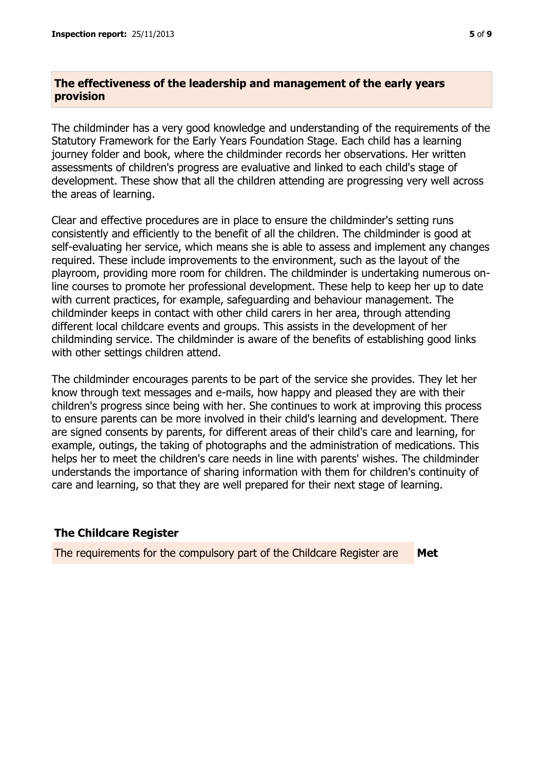# **The effectiveness of the leadership and management of the early years provision**

The childminder has a very good knowledge and understanding of the requirements of the Statutory Framework for the Early Years Foundation Stage. Each child has a learning journey folder and book, where the childminder records her observations. Her written assessments of children's progress are evaluative and linked to each child's stage of development. These show that all the children attending are progressing very well across the areas of learning.

Clear and effective procedures are in place to ensure the childminder's setting runs consistently and efficiently to the benefit of all the children. The childminder is good at self-evaluating her service, which means she is able to assess and implement any changes required. These include improvements to the environment, such as the layout of the playroom, providing more room for children. The childminder is undertaking numerous online courses to promote her professional development. These help to keep her up to date with current practices, for example, safeguarding and behaviour management. The childminder keeps in contact with other child carers in her area, through attending different local childcare events and groups. This assists in the development of her childminding service. The childminder is aware of the benefits of establishing good links with other settings children attend.

The childminder encourages parents to be part of the service she provides. They let her know through text messages and e-mails, how happy and pleased they are with their children's progress since being with her. She continues to work at improving this process to ensure parents can be more involved in their child's learning and development. There are signed consents by parents, for different areas of their child's care and learning, for example, outings, the taking of photographs and the administration of medications. This helps her to meet the children's care needs in line with parents' wishes. The childminder understands the importance of sharing information with them for children's continuity of care and learning, so that they are well prepared for their next stage of learning.

## **The Childcare Register**

The requirements for the compulsory part of the Childcare Register are **Met**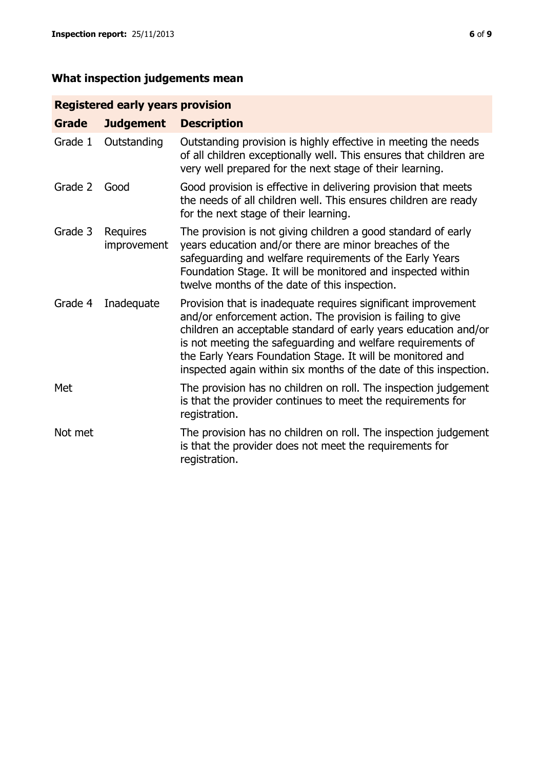# **What inspection judgements mean**

# **Registered early years provision**

| <b>Grade</b> | <b>Judgement</b>        | <b>Description</b>                                                                                                                                                                                                                                                                                                                                                                                |
|--------------|-------------------------|---------------------------------------------------------------------------------------------------------------------------------------------------------------------------------------------------------------------------------------------------------------------------------------------------------------------------------------------------------------------------------------------------|
| Grade 1      | Outstanding             | Outstanding provision is highly effective in meeting the needs<br>of all children exceptionally well. This ensures that children are<br>very well prepared for the next stage of their learning.                                                                                                                                                                                                  |
| Grade 2      | Good                    | Good provision is effective in delivering provision that meets<br>the needs of all children well. This ensures children are ready<br>for the next stage of their learning.                                                                                                                                                                                                                        |
| Grade 3      | Requires<br>improvement | The provision is not giving children a good standard of early<br>years education and/or there are minor breaches of the<br>safeguarding and welfare requirements of the Early Years<br>Foundation Stage. It will be monitored and inspected within<br>twelve months of the date of this inspection.                                                                                               |
| Grade 4      | Inadequate              | Provision that is inadequate requires significant improvement<br>and/or enforcement action. The provision is failing to give<br>children an acceptable standard of early years education and/or<br>is not meeting the safeguarding and welfare requirements of<br>the Early Years Foundation Stage. It will be monitored and<br>inspected again within six months of the date of this inspection. |
| Met          |                         | The provision has no children on roll. The inspection judgement<br>is that the provider continues to meet the requirements for<br>registration.                                                                                                                                                                                                                                                   |
| Not met      |                         | The provision has no children on roll. The inspection judgement<br>is that the provider does not meet the requirements for<br>registration.                                                                                                                                                                                                                                                       |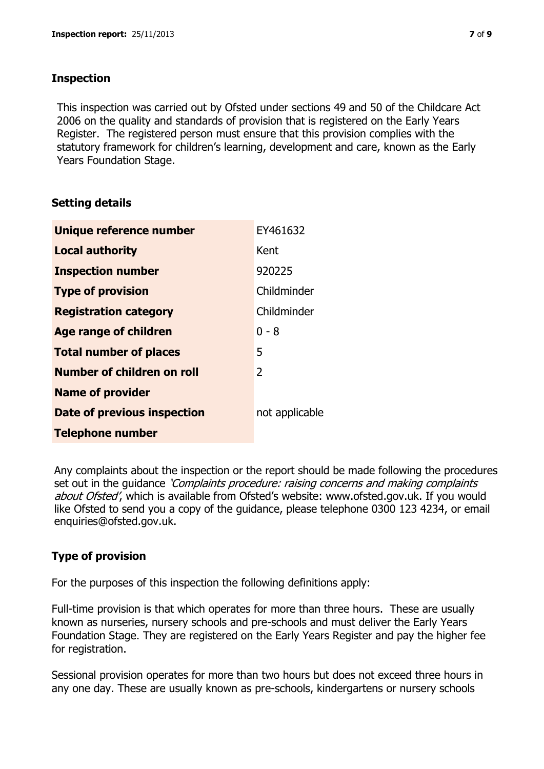#### **Inspection**

This inspection was carried out by Ofsted under sections 49 and 50 of the Childcare Act 2006 on the quality and standards of provision that is registered on the Early Years Register. The registered person must ensure that this provision complies with the statutory framework for children's learning, development and care, known as the Early Years Foundation Stage.

## **Setting details**

| Unique reference number       | EY461632       |
|-------------------------------|----------------|
| <b>Local authority</b>        | Kent           |
| <b>Inspection number</b>      | 920225         |
| <b>Type of provision</b>      | Childminder    |
| <b>Registration category</b>  | Childminder    |
| <b>Age range of children</b>  | $0 - 8$        |
| <b>Total number of places</b> | 5              |
| Number of children on roll    | 2              |
| <b>Name of provider</b>       |                |
| Date of previous inspection   | not applicable |
| <b>Telephone number</b>       |                |

Any complaints about the inspection or the report should be made following the procedures set out in the guidance *'Complaints procedure: raising concerns and making complaints* about Ofsted', which is available from Ofsted's website: www.ofsted.gov.uk. If you would like Ofsted to send you a copy of the guidance, please telephone 0300 123 4234, or email enquiries@ofsted.gov.uk.

# **Type of provision**

For the purposes of this inspection the following definitions apply:

Full-time provision is that which operates for more than three hours. These are usually known as nurseries, nursery schools and pre-schools and must deliver the Early Years Foundation Stage. They are registered on the Early Years Register and pay the higher fee for registration.

Sessional provision operates for more than two hours but does not exceed three hours in any one day. These are usually known as pre-schools, kindergartens or nursery schools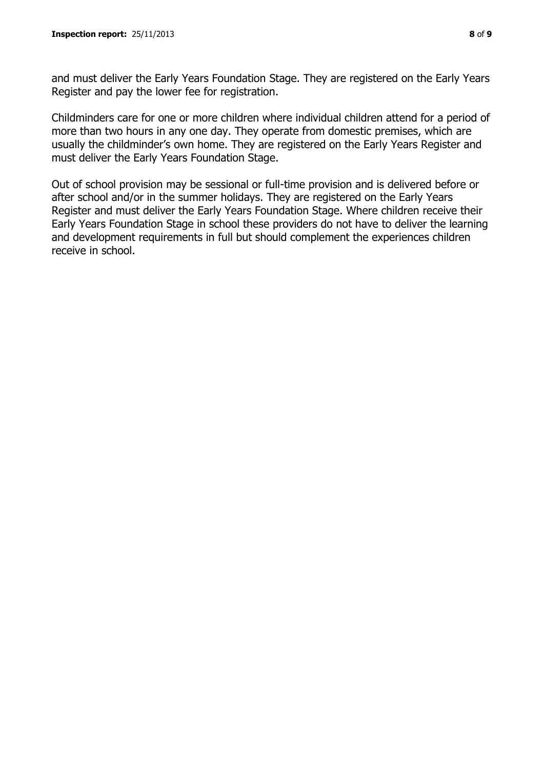and must deliver the Early Years Foundation Stage. They are registered on the Early Years Register and pay the lower fee for registration.

Childminders care for one or more children where individual children attend for a period of more than two hours in any one day. They operate from domestic premises, which are usually the childminder's own home. They are registered on the Early Years Register and must deliver the Early Years Foundation Stage.

Out of school provision may be sessional or full-time provision and is delivered before or after school and/or in the summer holidays. They are registered on the Early Years Register and must deliver the Early Years Foundation Stage. Where children receive their Early Years Foundation Stage in school these providers do not have to deliver the learning and development requirements in full but should complement the experiences children receive in school.